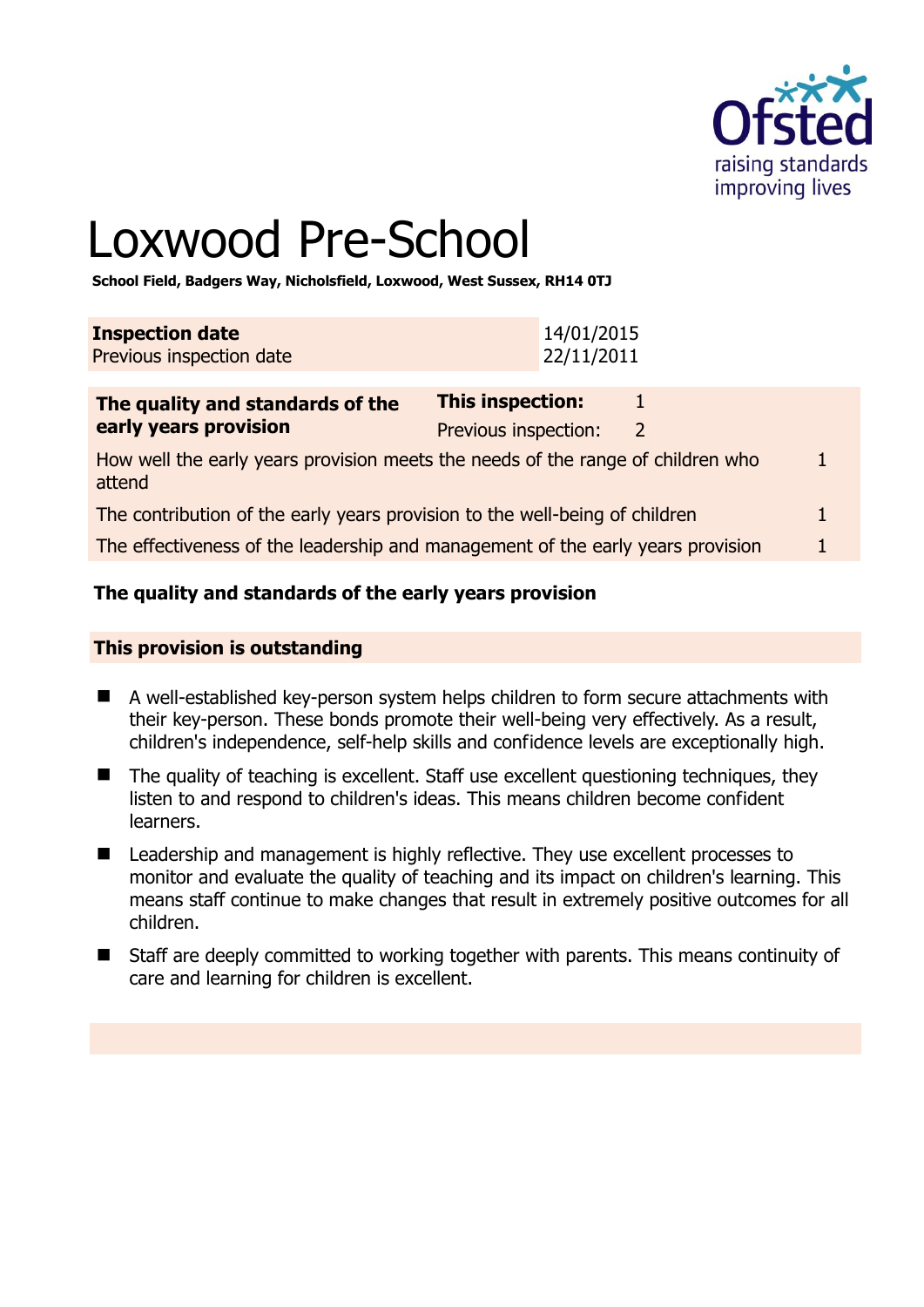

# Loxwood Pre-School

**School Field, Badgers Way, Nicholsfield, Loxwood, West Sussex, RH14 0TJ** 

| <b>Inspection date</b>   | 14/01/2015  |
|--------------------------|-------------|
| Previous inspection date | 122/11/2011 |

| The quality and standards of the                                                          | This inspection:     |   |  |
|-------------------------------------------------------------------------------------------|----------------------|---|--|
| early years provision                                                                     | Previous inspection: | 2 |  |
| How well the early years provision meets the needs of the range of children who<br>attend |                      |   |  |
| The contribution of the early years provision to the well-being of children               |                      |   |  |
| The effectiveness of the leadership and management of the early years provision           |                      |   |  |

# **The quality and standards of the early years provision**

#### **This provision is outstanding**

- A well-established key-person system helps children to form secure attachments with their key-person. These bonds promote their well-being very effectively. As a result, children's independence, self-help skills and confidence levels are exceptionally high.
- The quality of teaching is excellent. Staff use excellent questioning techniques, they listen to and respond to children's ideas. This means children become confident learners.
- Leadership and management is highly reflective. They use excellent processes to monitor and evaluate the quality of teaching and its impact on children's learning. This means staff continue to make changes that result in extremely positive outcomes for all children.
- Staff are deeply committed to working together with parents. This means continuity of care and learning for children is excellent.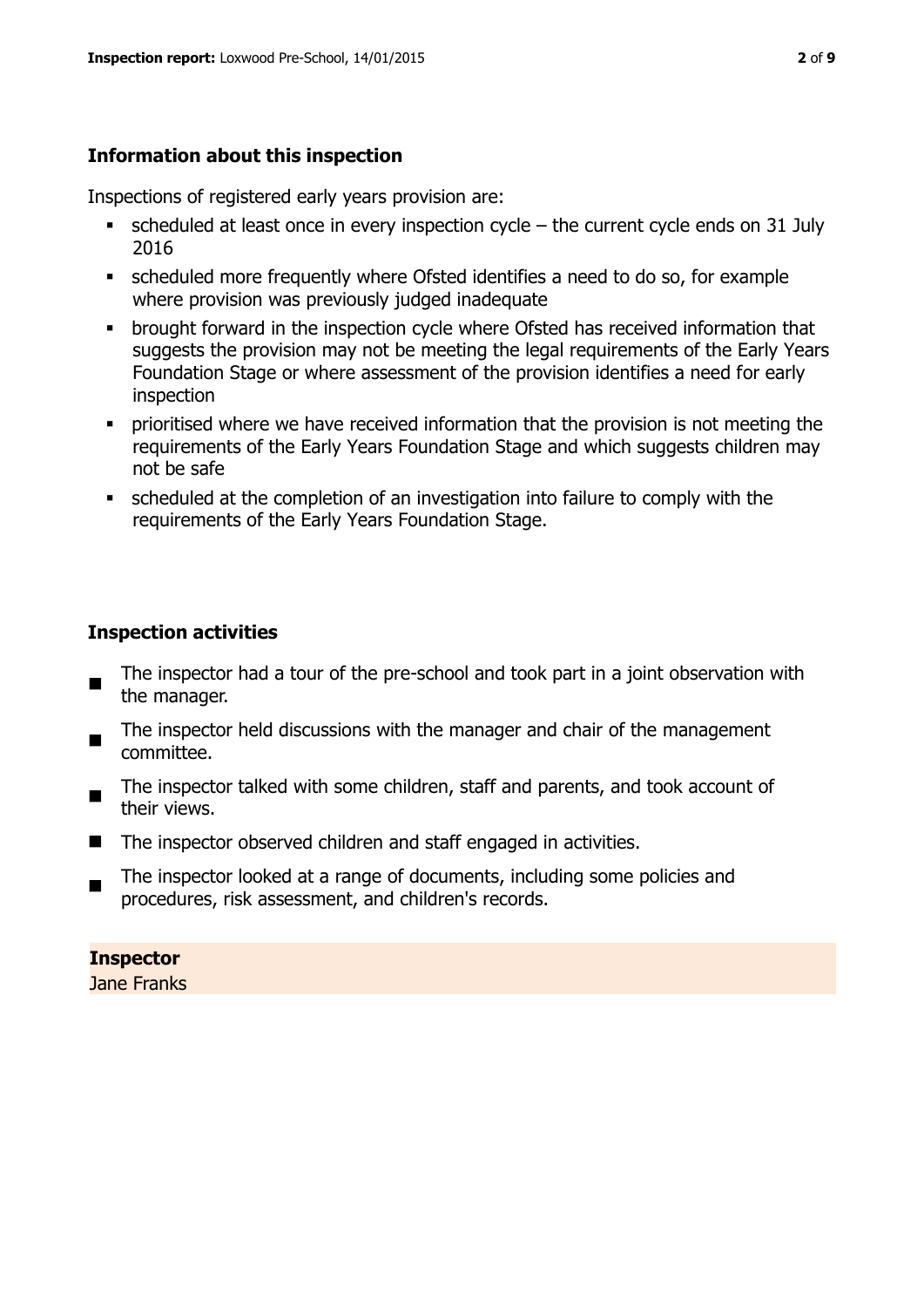#### **Information about this inspection**

Inspections of registered early years provision are:

- $\blacksquare$  scheduled at least once in every inspection cycle the current cycle ends on 31 July 2016
- scheduled more frequently where Ofsted identifies a need to do so, for example where provision was previously judged inadequate
- **•** brought forward in the inspection cycle where Ofsted has received information that suggests the provision may not be meeting the legal requirements of the Early Years Foundation Stage or where assessment of the provision identifies a need for early inspection
- **•** prioritised where we have received information that the provision is not meeting the requirements of the Early Years Foundation Stage and which suggests children may not be safe
- scheduled at the completion of an investigation into failure to comply with the requirements of the Early Years Foundation Stage.

#### **Inspection activities**

- The inspector had a tour of the pre-school and took part in a joint observation with the manager.
- The inspector held discussions with the manager and chair of the management committee.
- The inspector talked with some children, staff and parents, and took account of their views.
- The inspector observed children and staff engaged in activities.
- $\blacksquare$ The inspector looked at a range of documents, including some policies and procedures, risk assessment, and children's records.

# **Inspector**

Jane Franks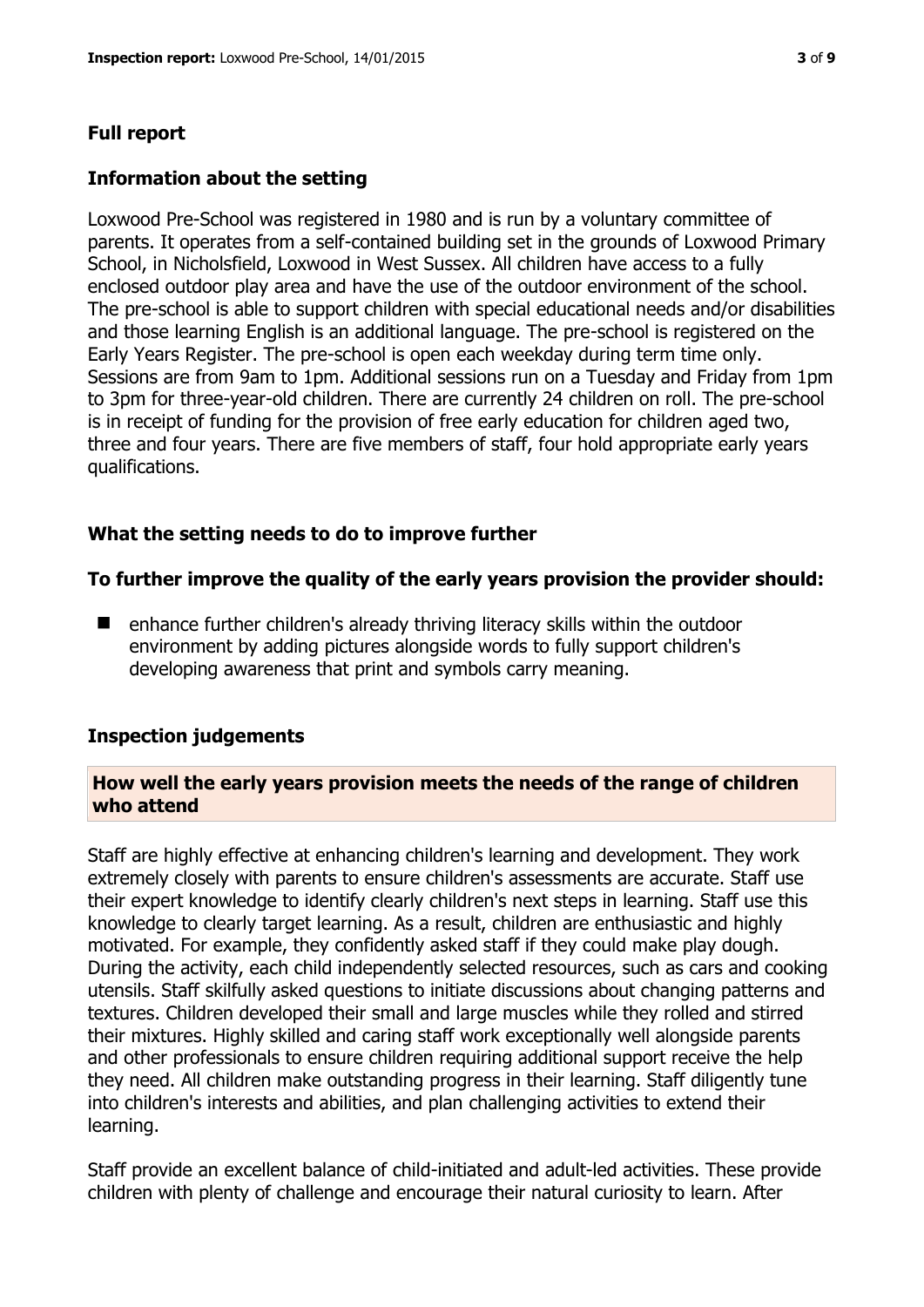# **Full report**

### **Information about the setting**

Loxwood Pre-School was registered in 1980 and is run by a voluntary committee of parents. It operates from a self-contained building set in the grounds of Loxwood Primary School, in Nicholsfield, Loxwood in West Sussex. All children have access to a fully enclosed outdoor play area and have the use of the outdoor environment of the school. The pre-school is able to support children with special educational needs and/or disabilities and those learning English is an additional language. The pre-school is registered on the Early Years Register. The pre-school is open each weekday during term time only. Sessions are from 9am to 1pm. Additional sessions run on a Tuesday and Friday from 1pm to 3pm for three-year-old children. There are currently 24 children on roll. The pre-school is in receipt of funding for the provision of free early education for children aged two, three and four years. There are five members of staff, four hold appropriate early years qualifications.

# **What the setting needs to do to improve further**

#### **To further improve the quality of the early years provision the provider should:**

■ enhance further children's already thriving literacy skills within the outdoor environment by adding pictures alongside words to fully support children's developing awareness that print and symbols carry meaning.

#### **Inspection judgements**

#### **How well the early years provision meets the needs of the range of children who attend**

Staff are highly effective at enhancing children's learning and development. They work extremely closely with parents to ensure children's assessments are accurate. Staff use their expert knowledge to identify clearly children's next steps in learning. Staff use this knowledge to clearly target learning. As a result, children are enthusiastic and highly motivated. For example, they confidently asked staff if they could make play dough. During the activity, each child independently selected resources, such as cars and cooking utensils. Staff skilfully asked questions to initiate discussions about changing patterns and textures. Children developed their small and large muscles while they rolled and stirred their mixtures. Highly skilled and caring staff work exceptionally well alongside parents and other professionals to ensure children requiring additional support receive the help they need. All children make outstanding progress in their learning. Staff diligently tune into children's interests and abilities, and plan challenging activities to extend their learning.

Staff provide an excellent balance of child-initiated and adult-led activities. These provide children with plenty of challenge and encourage their natural curiosity to learn. After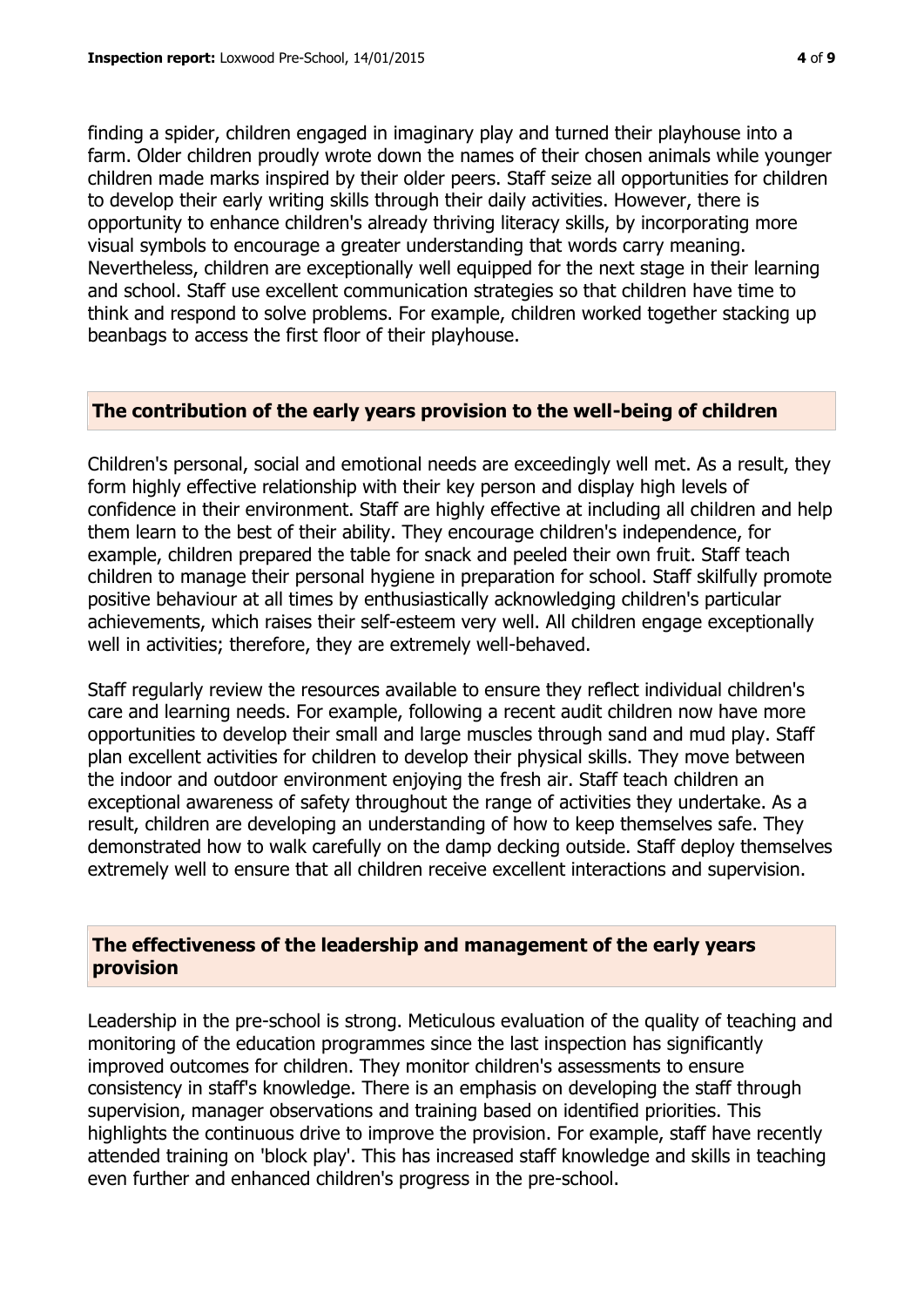finding a spider, children engaged in imaginary play and turned their playhouse into a farm. Older children proudly wrote down the names of their chosen animals while younger children made marks inspired by their older peers. Staff seize all opportunities for children to develop their early writing skills through their daily activities. However, there is opportunity to enhance children's already thriving literacy skills, by incorporating more visual symbols to encourage a greater understanding that words carry meaning. Nevertheless, children are exceptionally well equipped for the next stage in their learning and school. Staff use excellent communication strategies so that children have time to think and respond to solve problems. For example, children worked together stacking up beanbags to access the first floor of their playhouse.

#### **The contribution of the early years provision to the well-being of children**

Children's personal, social and emotional needs are exceedingly well met. As a result, they form highly effective relationship with their key person and display high levels of confidence in their environment. Staff are highly effective at including all children and help them learn to the best of their ability. They encourage children's independence, for example, children prepared the table for snack and peeled their own fruit. Staff teach children to manage their personal hygiene in preparation for school. Staff skilfully promote positive behaviour at all times by enthusiastically acknowledging children's particular achievements, which raises their self-esteem very well. All children engage exceptionally well in activities; therefore, they are extremely well-behaved.

Staff regularly review the resources available to ensure they reflect individual children's care and learning needs. For example, following a recent audit children now have more opportunities to develop their small and large muscles through sand and mud play. Staff plan excellent activities for children to develop their physical skills. They move between the indoor and outdoor environment enjoying the fresh air. Staff teach children an exceptional awareness of safety throughout the range of activities they undertake. As a result, children are developing an understanding of how to keep themselves safe. They demonstrated how to walk carefully on the damp decking outside. Staff deploy themselves extremely well to ensure that all children receive excellent interactions and supervision.

#### **The effectiveness of the leadership and management of the early years provision**

Leadership in the pre-school is strong. Meticulous evaluation of the quality of teaching and monitoring of the education programmes since the last inspection has significantly improved outcomes for children. They monitor children's assessments to ensure consistency in staff's knowledge. There is an emphasis on developing the staff through supervision, manager observations and training based on identified priorities. This highlights the continuous drive to improve the provision. For example, staff have recently attended training on 'block play'. This has increased staff knowledge and skills in teaching even further and enhanced children's progress in the pre-school.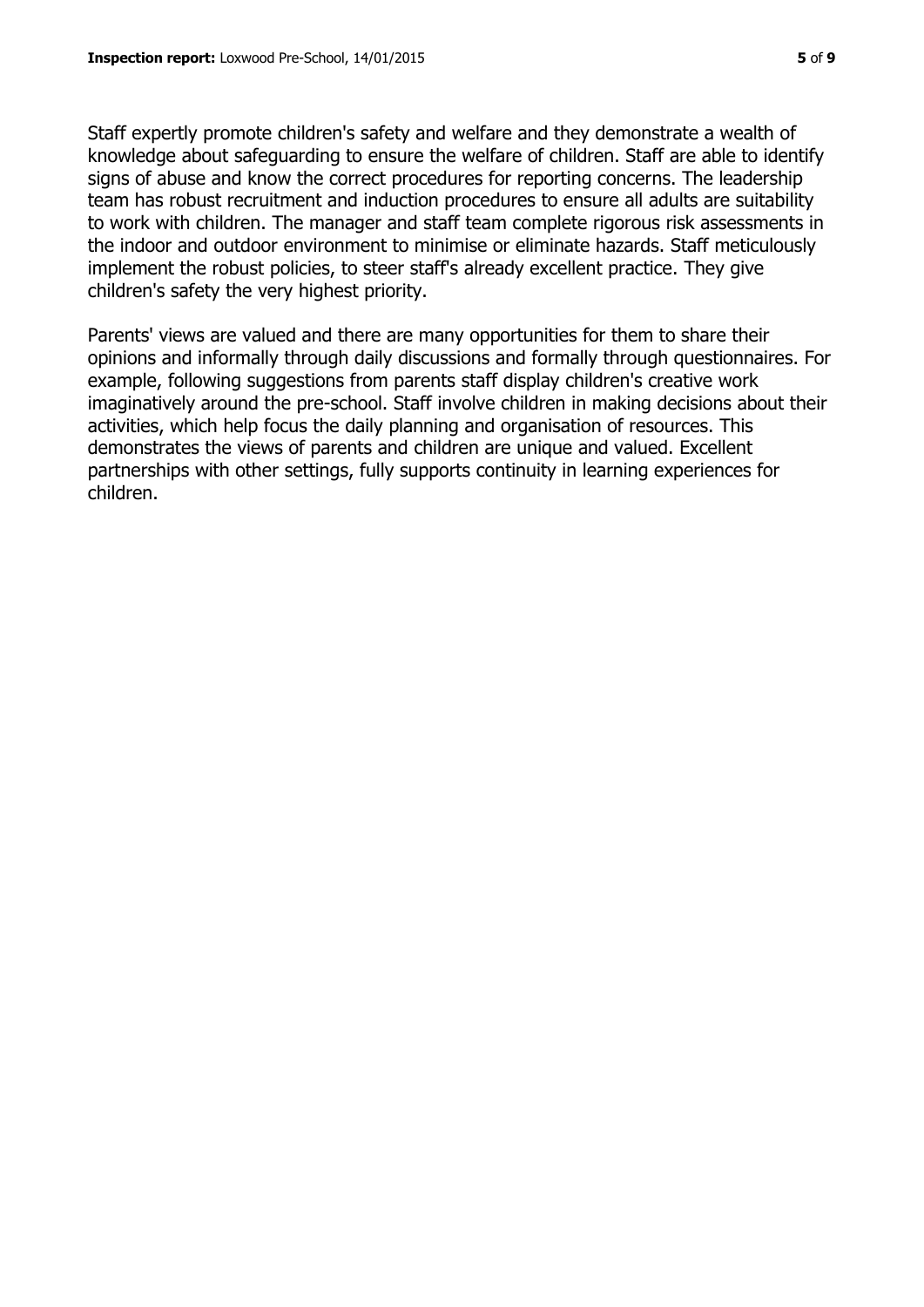Staff expertly promote children's safety and welfare and they demonstrate a wealth of knowledge about safeguarding to ensure the welfare of children. Staff are able to identify signs of abuse and know the correct procedures for reporting concerns. The leadership team has robust recruitment and induction procedures to ensure all adults are suitability to work with children. The manager and staff team complete rigorous risk assessments in the indoor and outdoor environment to minimise or eliminate hazards. Staff meticulously implement the robust policies, to steer staff's already excellent practice. They give children's safety the very highest priority.

Parents' views are valued and there are many opportunities for them to share their opinions and informally through daily discussions and formally through questionnaires. For example, following suggestions from parents staff display children's creative work imaginatively around the pre-school. Staff involve children in making decisions about their activities, which help focus the daily planning and organisation of resources. This demonstrates the views of parents and children are unique and valued. Excellent partnerships with other settings, fully supports continuity in learning experiences for children.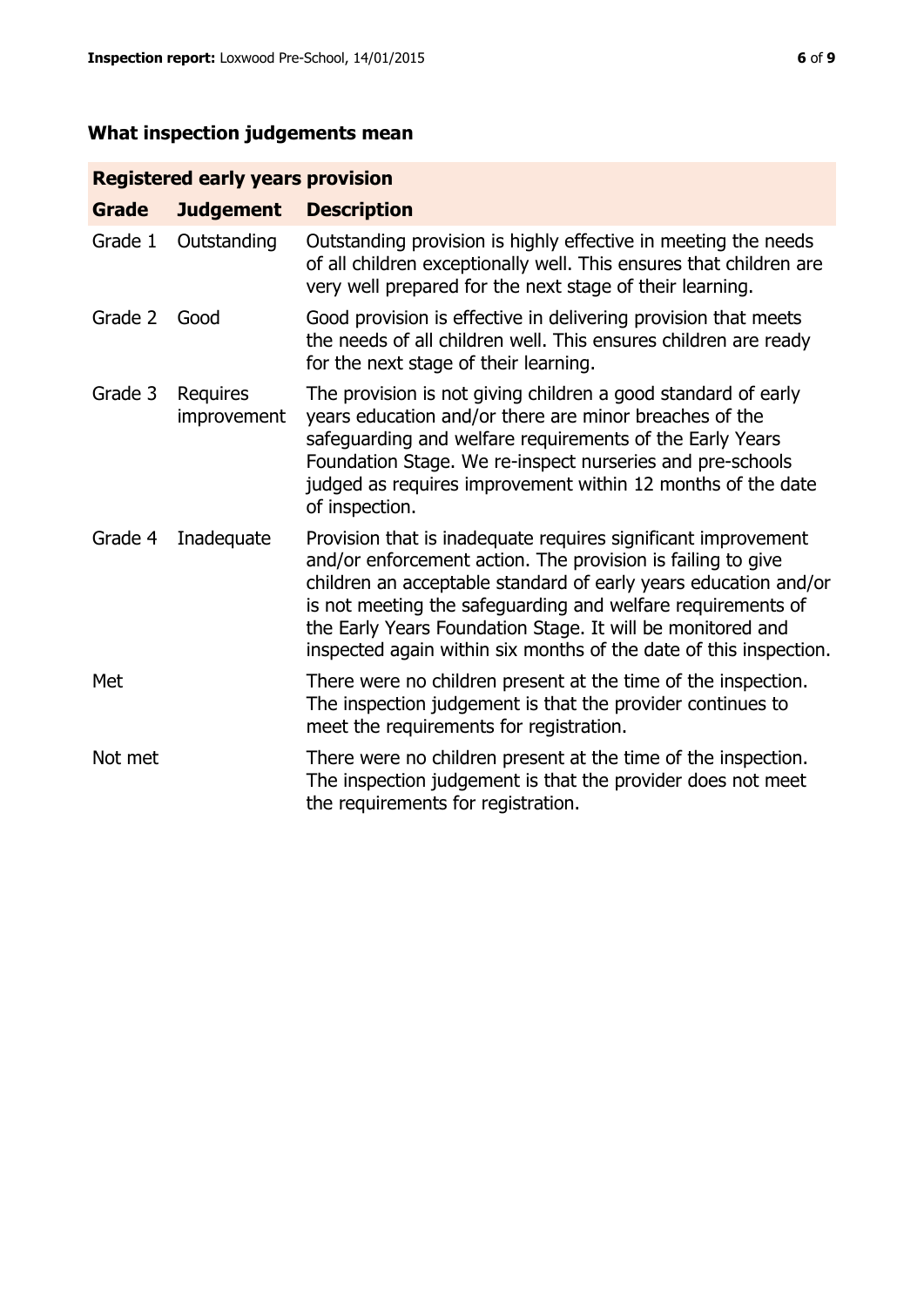# **What inspection judgements mean**

# **Registered early years provision**

| <b>Grade</b> | <b>Judgement</b>               | <b>Description</b>                                                                                                                                                                                                                                                                                                                                                                                |
|--------------|--------------------------------|---------------------------------------------------------------------------------------------------------------------------------------------------------------------------------------------------------------------------------------------------------------------------------------------------------------------------------------------------------------------------------------------------|
| Grade 1      | Outstanding                    | Outstanding provision is highly effective in meeting the needs<br>of all children exceptionally well. This ensures that children are<br>very well prepared for the next stage of their learning.                                                                                                                                                                                                  |
| Grade 2      | Good                           | Good provision is effective in delivering provision that meets<br>the needs of all children well. This ensures children are ready<br>for the next stage of their learning.                                                                                                                                                                                                                        |
| Grade 3      | <b>Requires</b><br>improvement | The provision is not giving children a good standard of early<br>years education and/or there are minor breaches of the<br>safeguarding and welfare requirements of the Early Years<br>Foundation Stage. We re-inspect nurseries and pre-schools<br>judged as requires improvement within 12 months of the date<br>of inspection.                                                                 |
| Grade 4      | Inadequate                     | Provision that is inadequate requires significant improvement<br>and/or enforcement action. The provision is failing to give<br>children an acceptable standard of early years education and/or<br>is not meeting the safeguarding and welfare requirements of<br>the Early Years Foundation Stage. It will be monitored and<br>inspected again within six months of the date of this inspection. |
| Met          |                                | There were no children present at the time of the inspection.<br>The inspection judgement is that the provider continues to<br>meet the requirements for registration.                                                                                                                                                                                                                            |
| Not met      |                                | There were no children present at the time of the inspection.<br>The inspection judgement is that the provider does not meet<br>the requirements for registration.                                                                                                                                                                                                                                |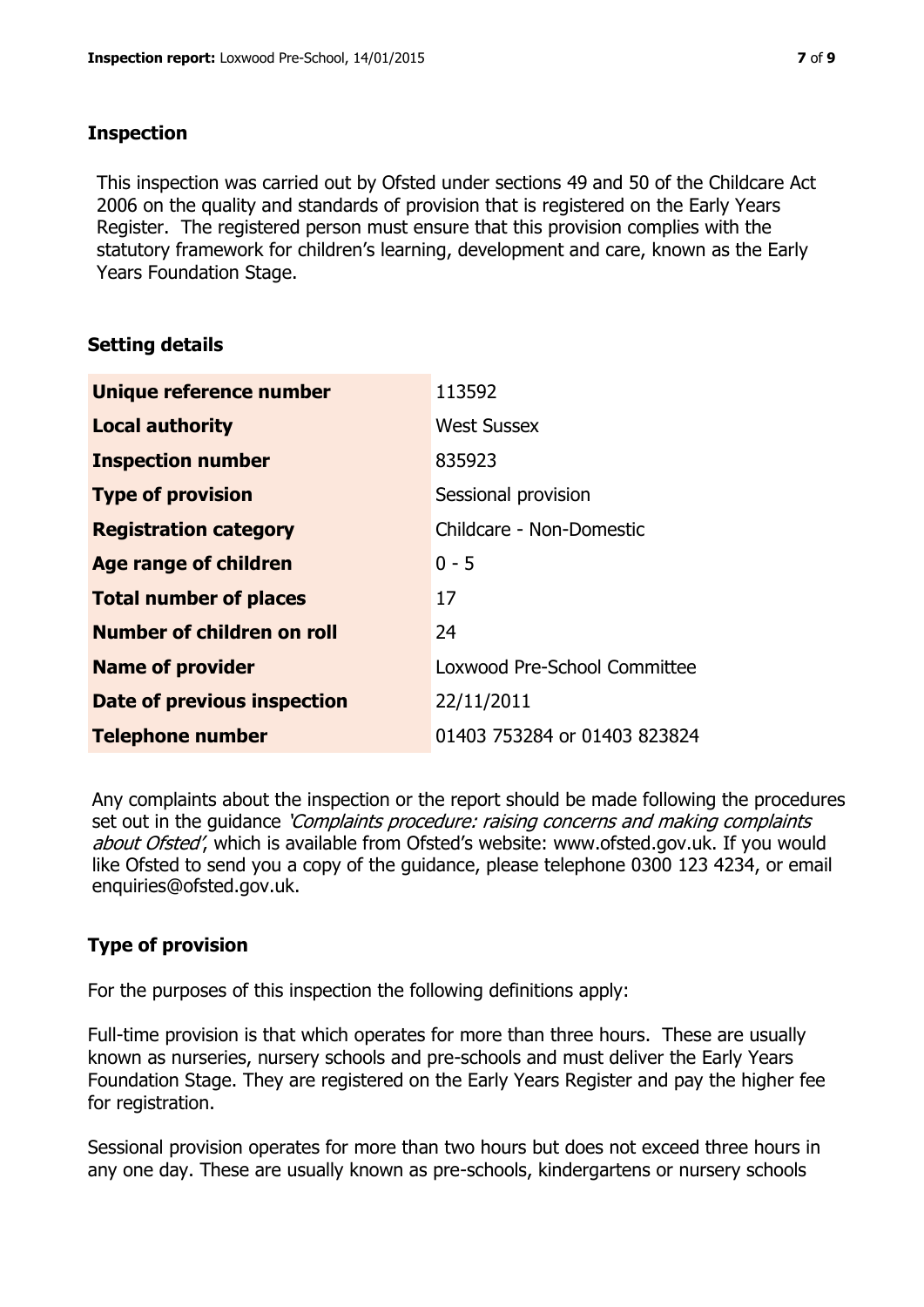#### **Inspection**

This inspection was carried out by Ofsted under sections 49 and 50 of the Childcare Act 2006 on the quality and standards of provision that is registered on the Early Years Register. The registered person must ensure that this provision complies with the statutory framework for children's learning, development and care, known as the Early Years Foundation Stage.

# **Setting details**

| Unique reference number       | 113592                       |
|-------------------------------|------------------------------|
| <b>Local authority</b>        | <b>West Sussex</b>           |
| <b>Inspection number</b>      | 835923                       |
| <b>Type of provision</b>      | Sessional provision          |
| <b>Registration category</b>  | Childcare - Non-Domestic     |
| Age range of children         | $0 - 5$                      |
| <b>Total number of places</b> | 17                           |
| Number of children on roll    | 24                           |
| <b>Name of provider</b>       | Loxwood Pre-School Committee |
| Date of previous inspection   | 22/11/2011                   |
| <b>Telephone number</b>       | 01403 753284 or 01403 823824 |

Any complaints about the inspection or the report should be made following the procedures set out in the guidance *'Complaints procedure: raising concerns and making complaints* about Ofsted', which is available from Ofsted's website: www.ofsted.gov.uk. If you would like Ofsted to send you a copy of the guidance, please telephone 0300 123 4234, or email enquiries@ofsted.gov.uk.

# **Type of provision**

For the purposes of this inspection the following definitions apply:

Full-time provision is that which operates for more than three hours. These are usually known as nurseries, nursery schools and pre-schools and must deliver the Early Years Foundation Stage. They are registered on the Early Years Register and pay the higher fee for registration.

Sessional provision operates for more than two hours but does not exceed three hours in any one day. These are usually known as pre-schools, kindergartens or nursery schools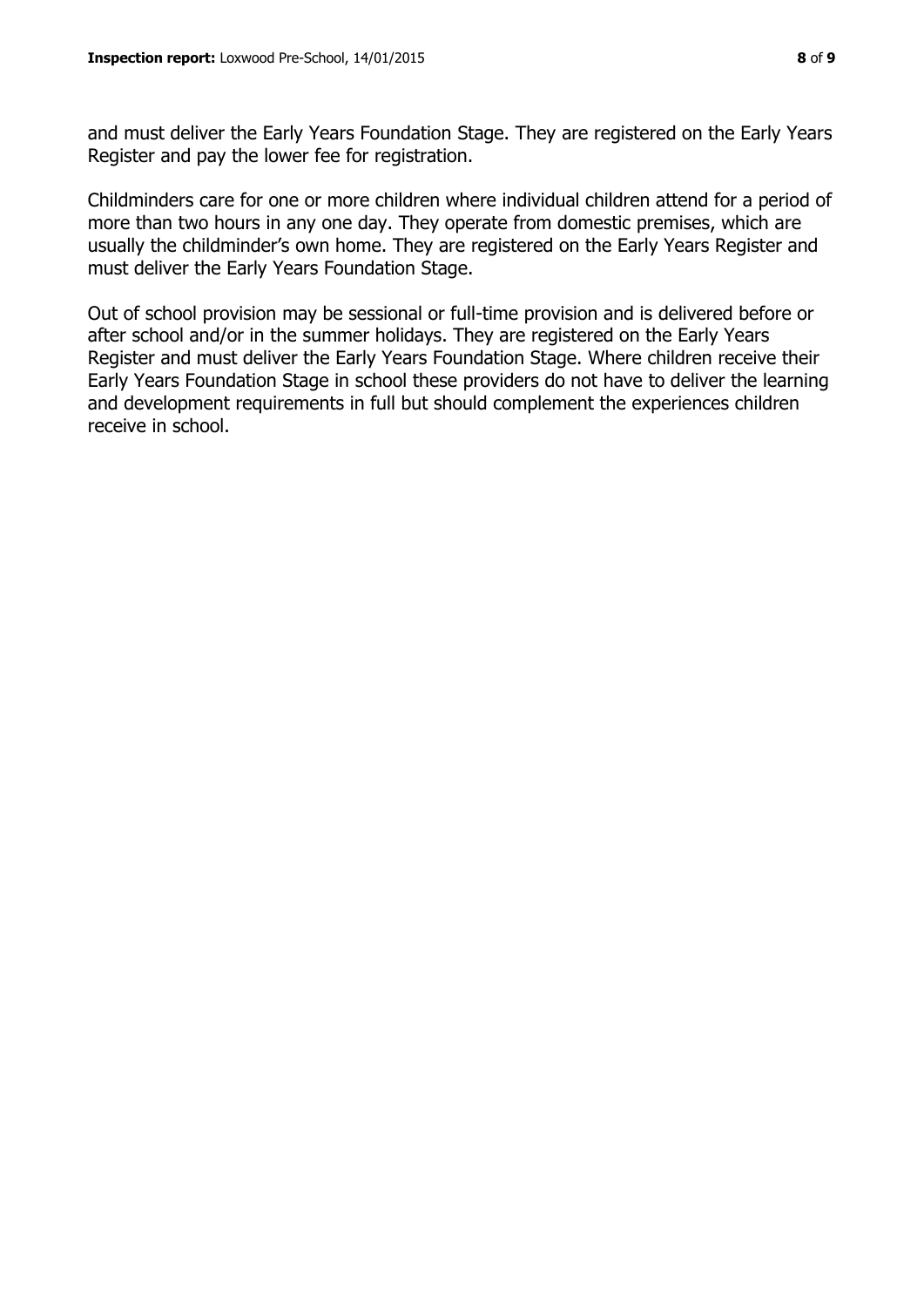and must deliver the Early Years Foundation Stage. They are registered on the Early Years Register and pay the lower fee for registration.

Childminders care for one or more children where individual children attend for a period of more than two hours in any one day. They operate from domestic premises, which are usually the childminder's own home. They are registered on the Early Years Register and must deliver the Early Years Foundation Stage.

Out of school provision may be sessional or full-time provision and is delivered before or after school and/or in the summer holidays. They are registered on the Early Years Register and must deliver the Early Years Foundation Stage. Where children receive their Early Years Foundation Stage in school these providers do not have to deliver the learning and development requirements in full but should complement the experiences children receive in school.